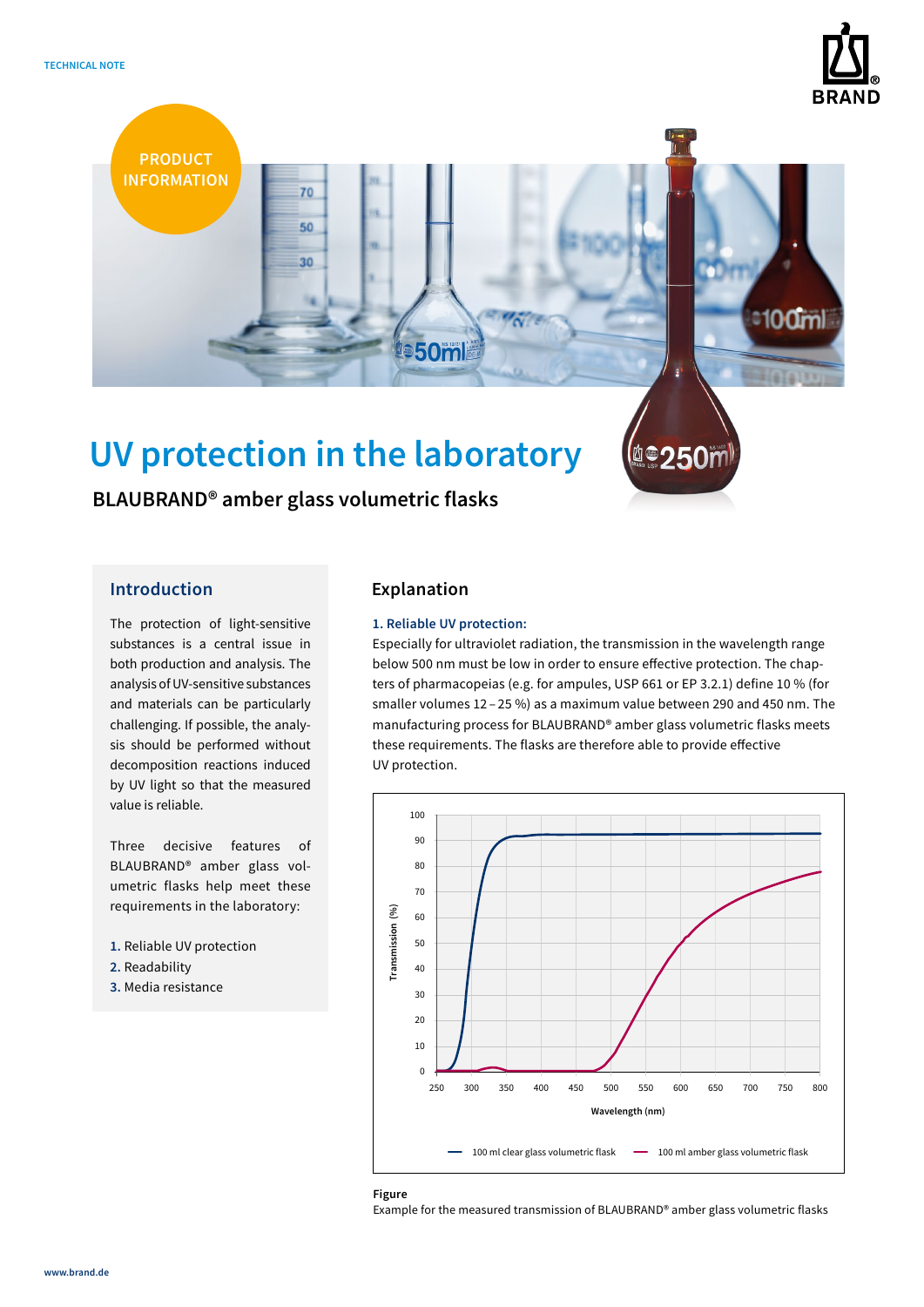



# **UV protection in the laboratory**

**BLAUBRAND® amber glass volumetric flasks**

The protection of light-sensitive substances is a central issue in both production and analysis. The analysis of UV-sensitive substances and materials can be particularly challenging. If possible, the analysis should be performed without decomposition reactions induced by UV light so that the measured value is reliable.

Three decisive features of BLAUBRAND® amber glass volumetric flasks help meet these requirements in the laboratory:

- **1.** Reliable UV protection
- **2.** Readability
- **3.** Media resistance

# **Introduction Explanation**

# **1. Reliable UV protection:**

Especially for ultraviolet radiation, the transmission in the wavelength range below 500 nm must be low in order to ensure effective protection. The chapters of pharmacopeias (e.g. for ampules, USP 661 or EP 3.2.1) define 10 % (for smaller volumes 12 – 25 %) as a maximum value between 290 and 450 nm. The manufacturing process for BLAUBRAND® amber glass volumetric flasks meets these requirements. The flasks are therefore able to provide effective UV protection.



### **Figure**

Example for the measured transmission of BLAUBRAND® amber glass volumetric flasks